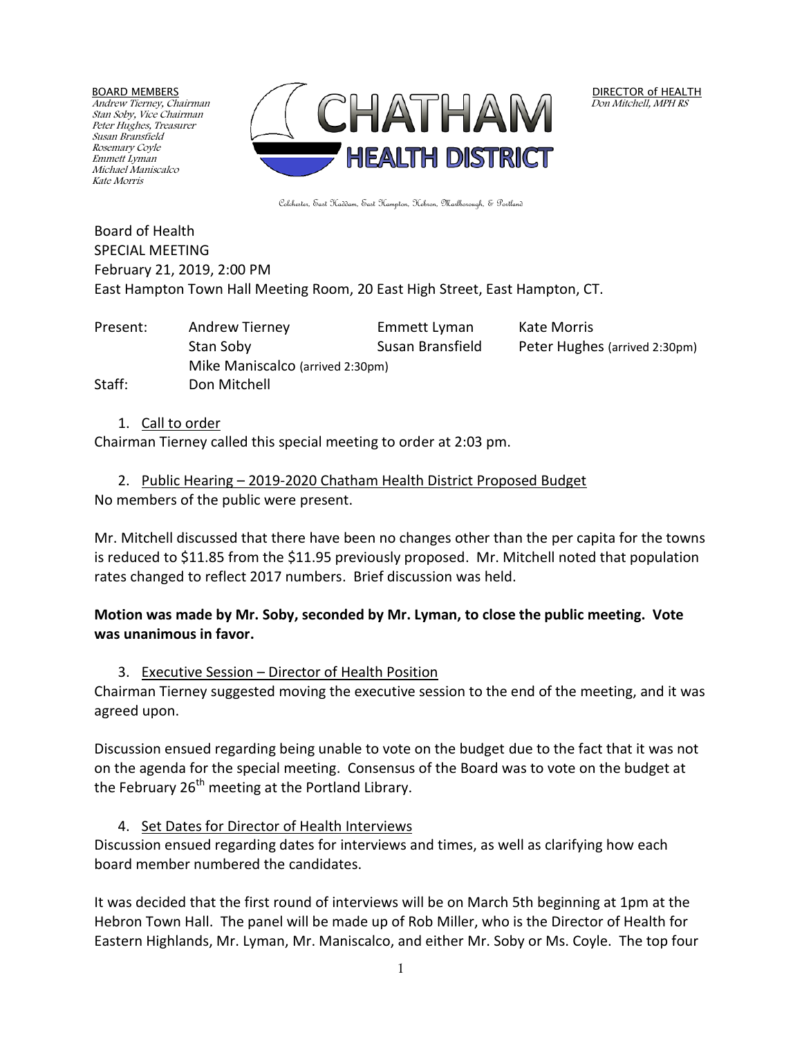BOARD MEMBERS

Andrew Tierney, Chairman Stan Soby, Vice Chairman Peter Hughes, Treasurer Susan Bransfield Rosemary Coyle Emmett Lyman Michael Maniscalco Kate Morris



DIRECTOR of HEALTH Don Mitchell, MPH RS

Colchester, East Haddam, East Hampton, Hebron, Marlborough, & Portland

Board of Health SPECIAL MEETING February 21, 2019, 2:00 PM East Hampton Town Hall Meeting Room, 20 East High Street, East Hampton, CT.

Present: Andrew Tierney Emmett Lyman Kate Morris Stan Soby Susan Bransfield Peter Hughes (arrived 2:30pm) Mike Maniscalco (arrived 2:30pm) Staff: Don Mitchell

## 1. Call to order

Chairman Tierney called this special meeting to order at 2:03 pm.

2. Public Hearing – 2019-2020 Chatham Health District Proposed Budget No members of the public were present.

Mr. Mitchell discussed that there have been no changes other than the per capita for the towns is reduced to \$11.85 from the \$11.95 previously proposed. Mr. Mitchell noted that population rates changed to reflect 2017 numbers. Brief discussion was held.

## **Motion was made by Mr. Soby, seconded by Mr. Lyman, to close the public meeting. Vote was unanimous in favor.**

3. Executive Session – Director of Health Position

Chairman Tierney suggested moving the executive session to the end of the meeting, and it was agreed upon.

Discussion ensued regarding being unable to vote on the budget due to the fact that it was not on the agenda for the special meeting. Consensus of the Board was to vote on the budget at the February  $26<sup>th</sup>$  meeting at the Portland Library.

4. Set Dates for Director of Health Interviews

Discussion ensued regarding dates for interviews and times, as well as clarifying how each board member numbered the candidates.

It was decided that the first round of interviews will be on March 5th beginning at 1pm at the Hebron Town Hall. The panel will be made up of Rob Miller, who is the Director of Health for Eastern Highlands, Mr. Lyman, Mr. Maniscalco, and either Mr. Soby or Ms. Coyle. The top four